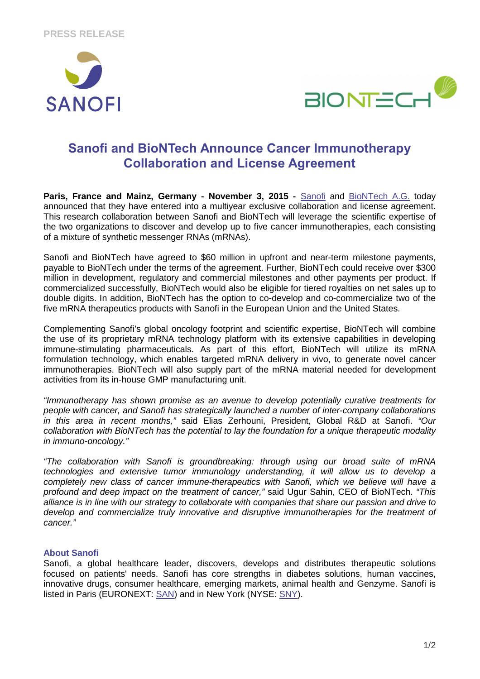



# **Sanofi and BioNTech Announce Cancer Immunotherapy Collaboration and License Agreement**

**Paris, France and Mainz, Germany - November 3, 2015 - Sanofi and BioNTech A.G. today** announced that they have entered into a multiyear exclusive collaboration and license agreement. This research collaboration between Sanofi and BioNTech will leverage the scientific expertise of the two organizations to discover and develop up to five cancer immunotherapies, each consisting of a mixture of synthetic messenger RNAs (mRNAs).

Sanofi and BioNTech have agreed to \$60 million in upfront and near-term milestone payments, payable to BioNTech under the terms of the agreement. Further, BioNTech could receive over \$300 million in development, regulatory and commercial milestones and other payments per product. If commercialized successfully, BioNTech would also be eligible for tiered royalties on net sales up to double digits. In addition, BioNTech has the option to co-develop and co-commercialize two of the five mRNA therapeutics products with Sanofi in the European Union and the United States.

Complementing Sanofi's global oncology footprint and scientific expertise, BioNTech will combine the use of its proprietary mRNA technology platform with its extensive capabilities in developing immune-stimulating pharmaceuticals. As part of this effort, BioNTech will utilize its mRNA formulation technology, which enables targeted mRNA delivery in vivo, to generate novel cancer immunotherapies. BioNTech will also supply part of the mRNA material needed for development activities from its in-house GMP manufacturing unit.

"Immunotherapy has shown promise as an avenue to develop potentially curative treatments for people with cancer, and Sanofi has strategically launched a number of inter-company collaborations in this area in recent months," said Elias Zerhouni, President, Global R&D at Sanofi. "Our collaboration with BioNTech has the potential to lay the foundation for a unique therapeutic modality in immuno-oncology."

"The collaboration with Sanofi is groundbreaking: through using our broad suite of mRNA technologies and extensive tumor immunology understanding, it will allow us to develop a completely new class of cancer immune-therapeutics with Sanofi, which we believe will have a profound and deep impact on the treatment of cancer," said Ugur Sahin, CEO of BioNTech. "This alliance is in line with our strategy to collaborate with companies that share our passion and drive to develop and commercialize truly innovative and disruptive immunotherapies for the treatment of cancer."

# **About Sanofi**

Sanofi, a global healthcare leader, discovers, develops and distributes therapeutic solutions focused on patients' needs. Sanofi has core strengths in diabetes solutions, human vaccines, innovative drugs, consumer healthcare, emerging markets, animal health and Genzyme. Sanofi is listed in Paris (EURONEXT: SAN) and in New York (NYSE: SNY).